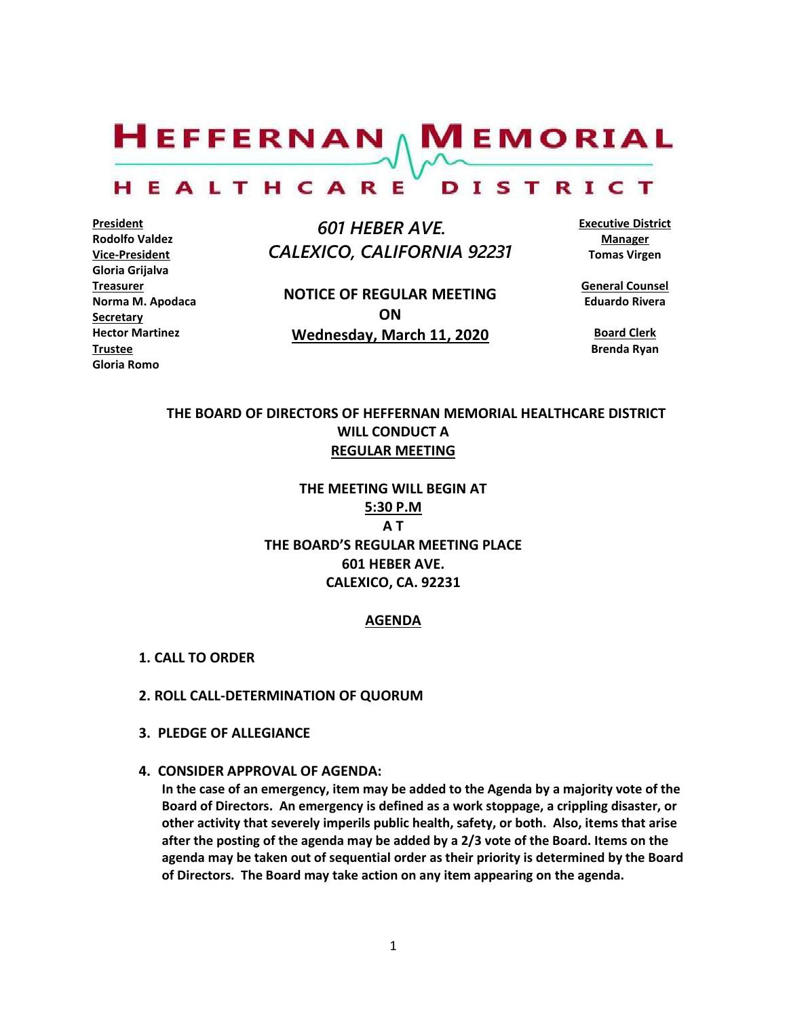$H$ EFFERNAN  $\wedge$  M EMORIAL

#### HEALTHCARE DISTRICT

**President Rodolfo Valdez Vice-President Gloria Grijalva Treasurer Norma M. Apodaca Secretary Hector Martinez Trustee Gloria Romo**

 *601 HEBER AVE. CALEXICO, CALIFORNIA 92231*

**NOTICE OF REGULAR MEETING ON Wednesday, March 11, 2020**

**Executive District Manager Tomas Virgen**

**General Counsel Eduardo Rivera**

**Board Clerk Brenda Ryan**

# **THE BOARD OF DIRECTORS OF HEFFERNAN MEMORIAL HEALTHCARE DISTRICT WILL CONDUCT A REGULAR MEETING**

**THE MEETING WILL BEGIN AT 5:30 P.M A T THE BOARD'S REGULAR MEETING PLACE 601 HEBER AVE. CALEXICO, CA. 92231**

#### **AGENDA**

- **1. CALL TO ORDER**
- **2. ROLL CALL-DETERMINATION OF QUORUM**
- **3. PLEDGE OF ALLEGIANCE**
- **4. CONSIDER APPROVAL OF AGENDA:**

**In the case of an emergency, item may be added to the Agenda by a majority vote of the Board of Directors. An emergency is defined as a work stoppage, a crippling disaster, or other activity that severely imperils public health, safety, or both. Also, items that arise after the posting of the agenda may be added by a 2/3 vote of the Board. Items on the agenda may be taken out of sequential order as their priority is determined by the Board of Directors. The Board may take action on any item appearing on the agenda.**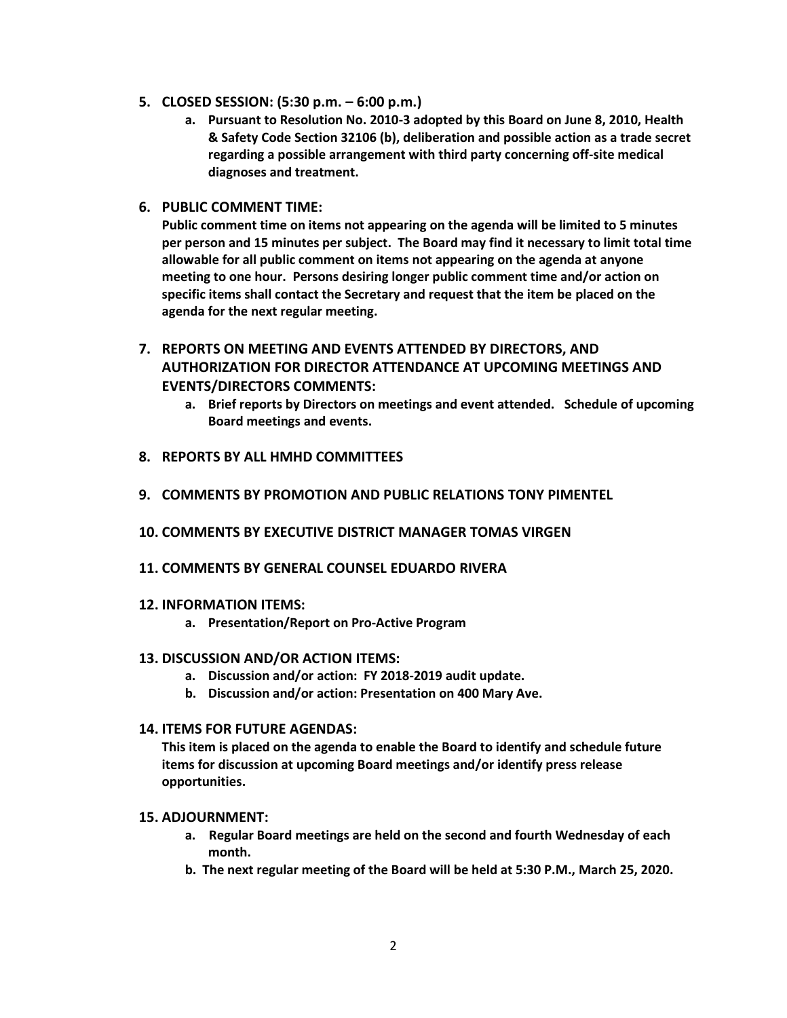- **5. CLOSED SESSION: (5:30 p.m. – 6:00 p.m.)**
	- **a. Pursuant to Resolution No. 2010-3 adopted by this Board on June 8, 2010, Health & Safety Code Section 32106 (b), deliberation and possible action as a trade secret regarding a possible arrangement with third party concerning off-site medical diagnoses and treatment.**
- **6. PUBLIC COMMENT TIME:**

**Public comment time on items not appearing on the agenda will be limited to 5 minutes per person and 15 minutes per subject. The Board may find it necessary to limit total time allowable for all public comment on items not appearing on the agenda at anyone meeting to one hour. Persons desiring longer public comment time and/or action on specific items shall contact the Secretary and request that the item be placed on the agenda for the next regular meeting.**

- **7. REPORTS ON MEETING AND EVENTS ATTENDED BY DIRECTORS, AND AUTHORIZATION FOR DIRECTOR ATTENDANCE AT UPCOMING MEETINGS AND EVENTS/DIRECTORS COMMENTS:**
	- **a. Brief reports by Directors on meetings and event attended. Schedule of upcoming Board meetings and events.**
- **8. REPORTS BY ALL HMHD COMMITTEES**
- **9. COMMENTS BY PROMOTION AND PUBLIC RELATIONS TONY PIMENTEL**
- **10. COMMENTS BY EXECUTIVE DISTRICT MANAGER TOMAS VIRGEN**
- **11. COMMENTS BY GENERAL COUNSEL EDUARDO RIVERA**

## **12. INFORMATION ITEMS:**

**a. Presentation/Report on Pro-Active Program**

## **13. DISCUSSION AND/OR ACTION ITEMS:**

- **a. Discussion and/or action: FY 2018-2019 audit update.**
- **b. Discussion and/or action: Presentation on 400 Mary Ave.**

## **14. ITEMS FOR FUTURE AGENDAS:**

**This item is placed on the agenda to enable the Board to identify and schedule future items for discussion at upcoming Board meetings and/or identify press release opportunities.**

## **15. ADJOURNMENT:**

- **a. Regular Board meetings are held on the second and fourth Wednesday of each month.**
- **b. The next regular meeting of the Board will be held at 5:30 P.M., March 25, 2020.**